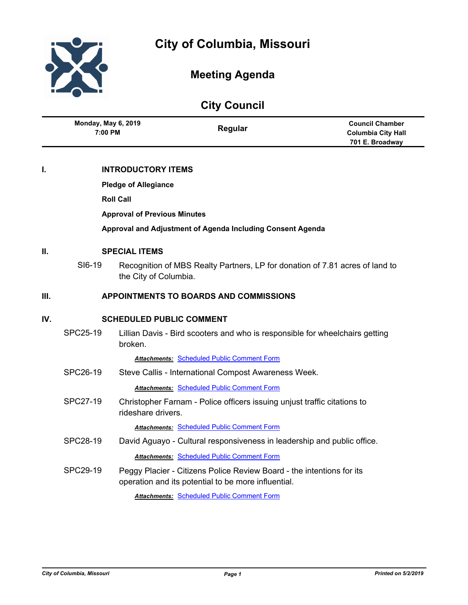

# **Meeting Agenda**

# **City Council**

|     | <b>Monday, May 6, 2019</b><br>7:00 PM         |                       | Regular                                                                      | <b>Council Chamber</b><br><b>Columbia City Hall</b><br>701 E. Broadway |  |
|-----|-----------------------------------------------|-----------------------|------------------------------------------------------------------------------|------------------------------------------------------------------------|--|
| I.  | <b>INTRODUCTORY ITEMS</b>                     |                       |                                                                              |                                                                        |  |
|     | <b>Pledge of Allegiance</b>                   |                       |                                                                              |                                                                        |  |
|     | <b>Roll Call</b>                              |                       |                                                                              |                                                                        |  |
|     | <b>Approval of Previous Minutes</b>           |                       |                                                                              |                                                                        |  |
|     |                                               |                       | Approval and Adjustment of Agenda Including Consent Agenda                   |                                                                        |  |
| П.  | <b>SPECIAL ITEMS</b>                          |                       |                                                                              |                                                                        |  |
|     | SI6-19                                        | the City of Columbia. | Recognition of MBS Realty Partners, LP for donation of 7.81 acres of land to |                                                                        |  |
| Ш.  | <b>APPOINTMENTS TO BOARDS AND COMMISSIONS</b> |                       |                                                                              |                                                                        |  |
| IV. | <b>SCHEDULED PUBLIC COMMENT</b>               |                       |                                                                              |                                                                        |  |
|     | SPC25-19                                      | broken.               | Lillian Davis - Bird scooters and who is responsible for wheelchairs getting |                                                                        |  |
|     |                                               |                       | <b>Attachments: Scheduled Public Comment Form</b>                            |                                                                        |  |

SPC26-19 Steve Callis - International Compost Awareness Week.

*Attachments:* [Scheduled Public Comment Form](http://gocolumbiamo.legistar.com/gateway.aspx?M=F&ID=e7ccf360-ff11-4285-95dc-c083f1cd0673.pdf)

SPC27-19 Christopher Farnam - Police officers issuing unjust traffic citations to rideshare drivers.

*Attachments:* [Scheduled Public Comment Form](http://gocolumbiamo.legistar.com/gateway.aspx?M=F&ID=f3647dab-a1c5-4ed8-87b5-427e48abe093.pdf)

- SPC28-19 David Aguayo Cultural responsiveness in leadership and public office. *Attachments:* [Scheduled Public Comment Form](http://gocolumbiamo.legistar.com/gateway.aspx?M=F&ID=dfe368ca-1920-45f4-b0c2-7bb7ada34608.pdf)
- SPC29-19 Peggy Placier Citizens Police Review Board the intentions for its operation and its potential to be more influential.

*Attachments:* [Scheduled Public Comment Form](http://gocolumbiamo.legistar.com/gateway.aspx?M=F&ID=99655211-2e0b-4786-a062-f36e258da532.pdf)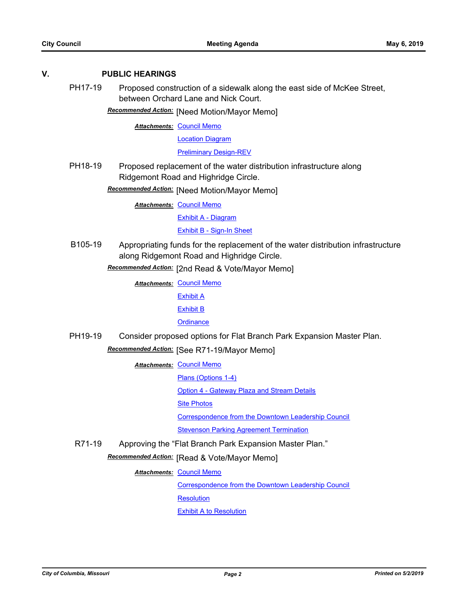## **V. PUBLIC HEARINGS**

PH17-19 Proposed construction of a sidewalk along the east side of McKee Street, between Orchard Lane and Nick Court.

**Recommended Action:** [Need Motion/Mayor Memo]

**Attachments: [Council Memo](http://gocolumbiamo.legistar.com/gateway.aspx?M=F&ID=009d29c2-2382-4eb9-8317-637ae9bb4c90.docx)** 

[Location Diagram](http://gocolumbiamo.legistar.com/gateway.aspx?M=F&ID=bd2e51b2-e0f1-437b-a88d-f101ce735f9f.pdf)

[Preliminary Design-REV](http://gocolumbiamo.legistar.com/gateway.aspx?M=F&ID=aa1ce079-d001-48b4-83fc-c38295ae54df.pdf)

PH18-19 Proposed replacement of the water distribution infrastructure along Ridgemont Road and Highridge Circle.

[Need Motion/Mayor Memo] *Recommended Action:*

**Attachments: [Council Memo](http://gocolumbiamo.legistar.com/gateway.aspx?M=F&ID=7126dace-55b2-493b-858e-828c133151ea.docx)** 

[Exhibit A - Diagram](http://gocolumbiamo.legistar.com/gateway.aspx?M=F&ID=15b1a86b-f04f-432b-902b-143628db8ffa.pdf)

[Exhibit B - Sign-In Sheet](http://gocolumbiamo.legistar.com/gateway.aspx?M=F&ID=e9344d1b-3aa5-4f4a-a506-0564f244942e.pdf)

B105-19 Appropriating funds for the replacement of the water distribution infrastructure along Ridgemont Road and Highridge Circle.

[2nd Read & Vote/Mayor Memo] *Recommended Action:*

**Attachments: [Council Memo](http://gocolumbiamo.legistar.com/gateway.aspx?M=F&ID=05e85bda-9305-44de-a024-9a077775f5ee.docx)** 

[Exhibit A](http://gocolumbiamo.legistar.com/gateway.aspx?M=F&ID=136258d9-adad-4a74-b234-ca72c2ceff1d.pdf)

[Exhibit B](http://gocolumbiamo.legistar.com/gateway.aspx?M=F&ID=293db536-3efc-44d9-8802-1515251212e9.pdf)

## **[Ordinance](http://gocolumbiamo.legistar.com/gateway.aspx?M=F&ID=b9c3f074-36ea-40fc-ac0c-6d3d8cfaad08.doc)**

PH19-19 Consider proposed options for Flat Branch Park Expansion Master Plan.

[See R71-19/Mayor Memo] *Recommended Action:*

**Attachments: [Council Memo](http://gocolumbiamo.legistar.com/gateway.aspx?M=F&ID=22573a88-4647-49e1-a726-039b5ec338fb.docx)** 

[Plans \(Options 1-4\)](http://gocolumbiamo.legistar.com/gateway.aspx?M=F&ID=ba074c57-ca73-48a0-8c59-cf8cbb7f3472.pdf)

[Option 4 - Gateway Plaza and Stream Details](http://gocolumbiamo.legistar.com/gateway.aspx?M=F&ID=11756f7f-c641-48bb-91d6-622908814837.pdf)

[Site Photos](http://gocolumbiamo.legistar.com/gateway.aspx?M=F&ID=db0fe0b1-d9fe-40a9-9a79-731218eba1ad.pdf)

[Correspondence from the Downtown Leadership Council](http://gocolumbiamo.legistar.com/gateway.aspx?M=F&ID=1c7ce25f-42f6-4270-a7fa-6a358de33e4d.pdf)

[Stevenson Parking Agreement Termination](http://gocolumbiamo.legistar.com/gateway.aspx?M=F&ID=63f6b313-0875-4f30-8f53-f1ac22cc97f3.pdf)

R71-19 Approving the "Flat Branch Park Expansion Master Plan."

**Recommended Action:** [Read & Vote/Mayor Memo]

**Attachments: [Council Memo](http://gocolumbiamo.legistar.com/gateway.aspx?M=F&ID=a50f45fc-b21b-4f4a-ad9e-347d2aec8c24.docx)** 

[Correspondence from the Downtown Leadership Council](http://gocolumbiamo.legistar.com/gateway.aspx?M=F&ID=2b00c1d0-22dc-4a56-a4a9-164a37cbbc42.pdf)

**[Resolution](http://gocolumbiamo.legistar.com/gateway.aspx?M=F&ID=aa5a2d85-a81b-4f6c-b19b-9c64f7425a58.doc)** 

[Exhibit A to Resolution](http://gocolumbiamo.legistar.com/gateway.aspx?M=F&ID=3971affb-7ad7-45f1-95c7-5c530f49e75a.pdf)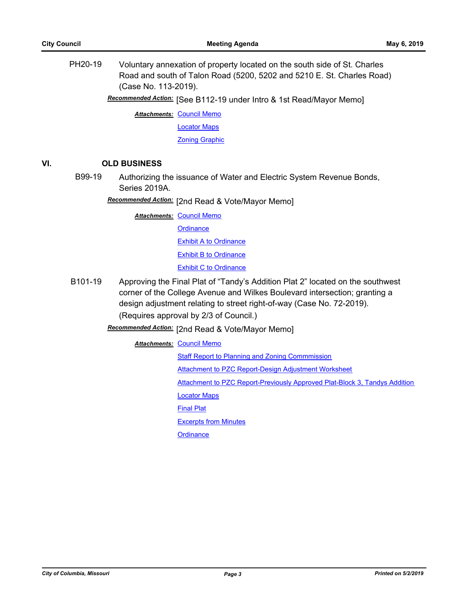PH20-19 Voluntary annexation of property located on the south side of St. Charles Road and south of Talon Road (5200, 5202 and 5210 E. St. Charles Road) (Case No. 113-2019).

Recommended Action: [See B112-19 under Intro & 1st Read/Mayor Memo]

**Attachments: [Council Memo](http://gocolumbiamo.legistar.com/gateway.aspx?M=F&ID=2f8fcdb6-60cc-4779-b74b-187230472e2b.docx)** [Locator Maps](http://gocolumbiamo.legistar.com/gateway.aspx?M=F&ID=b3819eb1-84bd-4cf0-b52c-38de04b3c3cb.pdf) [Zoning Graphic](http://gocolumbiamo.legistar.com/gateway.aspx?M=F&ID=55943072-934a-41dc-a143-93f10fa24f3b.pdf)

# **VI. OLD BUSINESS**

B99-19 Authorizing the issuance of Water and Electric System Revenue Bonds, Series 2019A.

[2nd Read & Vote/Mayor Memo] *Recommended Action:*

**Attachments: [Council Memo](http://gocolumbiamo.legistar.com/gateway.aspx?M=F&ID=54c57aee-e34f-4f91-a449-fe4190810800.docx) [Ordinance](http://gocolumbiamo.legistar.com/gateway.aspx?M=F&ID=892ab42a-a5ca-49b0-b92e-a89cba70d2e6.doc)** [Exhibit A to Ordinance](http://gocolumbiamo.legistar.com/gateway.aspx?M=F&ID=d8c50474-9baf-4fc4-af98-9e7d00d078a6.pdf) [Exhibit B to Ordinance](http://gocolumbiamo.legistar.com/gateway.aspx?M=F&ID=60ccd9d9-0ed1-4aa7-81c8-61c8dba479a2.pdf) [Exhibit C to Ordinance](http://gocolumbiamo.legistar.com/gateway.aspx?M=F&ID=56ad87c2-6e56-418d-b43f-a0ecfdbd35af.pdf)

B101-19 Approving the Final Plat of "Tandy's Addition Plat 2" located on the southwest corner of the College Avenue and Wilkes Boulevard intersection; granting a design adjustment relating to street right-of-way (Case No. 72-2019). (Requires approval by 2/3 of Council.)

Recommended Action: [2nd Read & Vote/Mayor Memo]

**Attachments: [Council Memo](http://gocolumbiamo.legistar.com/gateway.aspx?M=F&ID=197439e9-77ec-4e43-99f9-a639d357a56d.docx)** [Staff Report to Planning and Zoning Commmission](http://gocolumbiamo.legistar.com/gateway.aspx?M=F&ID=bdea55a9-2fea-4bd7-b7cf-5d8f7d5d1bb0.pdf) [Attachment to PZC Report-Design Adjustment Worksheet](http://gocolumbiamo.legistar.com/gateway.aspx?M=F&ID=95cec014-1da7-4a96-81f6-28e55ded79f6.pdf) [Attachment to PZC Report-Previously Approved Plat-Block 3, Tandys Addition](http://gocolumbiamo.legistar.com/gateway.aspx?M=F&ID=37a4d0e5-ec8b-4c90-9516-b2d181e494cc.pdf) [Locator Maps](http://gocolumbiamo.legistar.com/gateway.aspx?M=F&ID=0114cb68-e05e-4fb8-8f3f-51b4079bc533.pdf) [Final Plat](http://gocolumbiamo.legistar.com/gateway.aspx?M=F&ID=e48a091a-8f32-4075-bac9-c43284cb739c.pdf) [Excerpts from Minutes](http://gocolumbiamo.legistar.com/gateway.aspx?M=F&ID=3fe1144f-5dc0-4cc9-8a90-0c27e279129f.docx) **[Ordinance](http://gocolumbiamo.legistar.com/gateway.aspx?M=F&ID=1294644b-02a8-453c-b1f8-b3803e04c73e.doc)**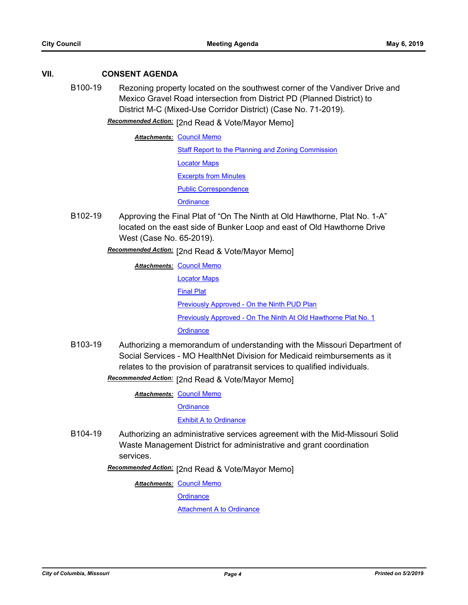## **VII. CONSENT AGENDA**

- B100-19 Rezoning property located on the southwest corner of the Vandiver Drive and Mexico Gravel Road intersection from District PD (Planned District) to District M-C (Mixed-Use Corridor District) (Case No. 71-2019).
	- Recommended Action: [2nd Read & Vote/Mayor Memo]

**Attachments: [Council Memo](http://gocolumbiamo.legistar.com/gateway.aspx?M=F&ID=e7eab857-e079-4951-8e8b-c5492cbb674d.docx)** [Staff Report to the Planning and Zoning Commission](http://gocolumbiamo.legistar.com/gateway.aspx?M=F&ID=e592624a-431e-4b8a-832a-812ee85a9ac3.docx) [Locator Maps](http://gocolumbiamo.legistar.com/gateway.aspx?M=F&ID=cace671a-e047-4b17-830e-6dfcd0149359.pdf) [Excerpts from Minutes](http://gocolumbiamo.legistar.com/gateway.aspx?M=F&ID=953b45e8-7918-4893-8fa8-0983a73c4a9f.docx) [Public Correspondence](http://gocolumbiamo.legistar.com/gateway.aspx?M=F&ID=2baaa11a-9e9d-40d0-8de6-bc1874bbcde3.pdf) **[Ordinance](http://gocolumbiamo.legistar.com/gateway.aspx?M=F&ID=b5270ef0-d77b-42cf-9828-c6843101cbc5.doc)** 

B102-19 Approving the Final Plat of "On The Ninth at Old Hawthorne, Plat No. 1-A" located on the east side of Bunker Loop and east of Old Hawthorne Drive West (Case No. 65-2019).

Recommended Action: [2nd Read & Vote/Mayor Memo]

**Attachments: [Council Memo](http://gocolumbiamo.legistar.com/gateway.aspx?M=F&ID=b711d60c-ee35-45e7-91b3-528c3a307a84.docx)** [Locator Maps](http://gocolumbiamo.legistar.com/gateway.aspx?M=F&ID=f800040b-1d4a-42c7-bd95-fecf827dbf67.pdf) [Final Plat](http://gocolumbiamo.legistar.com/gateway.aspx?M=F&ID=5b0b698c-cbb6-44ea-a3df-47a57855605d.pdf) [Previously Approved - On the Ninth PUD Plan](http://gocolumbiamo.legistar.com/gateway.aspx?M=F&ID=2ea5a46f-7ed5-4c56-acee-b2353830bc1b.pdf) [Previously Approved - On The Ninth At Old Hawthorne Plat No. 1](http://gocolumbiamo.legistar.com/gateway.aspx?M=F&ID=35bce2a5-8215-4a8c-b0c9-5b0a532c071a.pdf) **[Ordinance](http://gocolumbiamo.legistar.com/gateway.aspx?M=F&ID=53ca007f-060a-4c59-8277-bf55cc4eaecb.doc)** 

B103-19 Authorizing a memorandum of understanding with the Missouri Department of Social Services - MO HealthNet Division for Medicaid reimbursements as it relates to the provision of paratransit services to qualified individuals.

**Recommended Action:** [2nd Read & Vote/Mayor Memo]

**Attachments: [Council Memo](http://gocolumbiamo.legistar.com/gateway.aspx?M=F&ID=3b3b3f9f-e830-449e-bf07-8acda3e5fa7a.docx)** 

**[Ordinance](http://gocolumbiamo.legistar.com/gateway.aspx?M=F&ID=a31e3838-f46e-4063-91c8-5eece05c8be3.doc)** 

[Exhibit A to Ordinance](http://gocolumbiamo.legistar.com/gateway.aspx?M=F&ID=d7ee69bd-f27d-4df2-9a21-dc3ca7f430df.pdf)

B104-19 Authorizing an administrative services agreement with the Mid-Missouri Solid Waste Management District for administrative and grant coordination services.

Recommended Action: [2nd Read & Vote/Mayor Memo]

**Attachments: [Council Memo](http://gocolumbiamo.legistar.com/gateway.aspx?M=F&ID=5b48cc33-c3f3-4e36-8be8-1c5ad727ec1f.docx)** 

**[Ordinance](http://gocolumbiamo.legistar.com/gateway.aspx?M=F&ID=1bbe7286-0335-48cf-a310-6bd23d20c208.doc)** 

[Attachment A to Ordinance](http://gocolumbiamo.legistar.com/gateway.aspx?M=F&ID=7865dd58-fc78-4d3b-96c6-13cbd712f68a.pdf)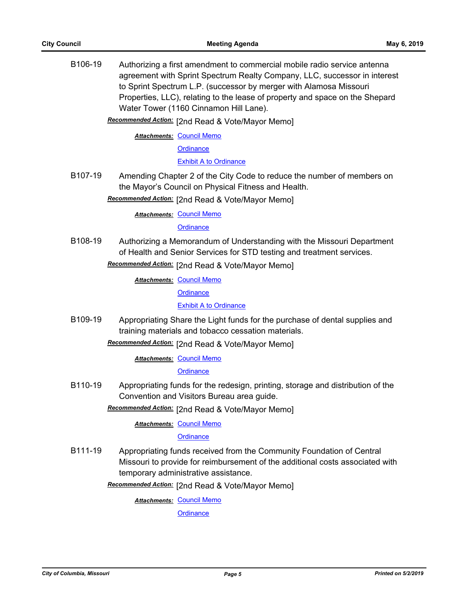B106-19 Authorizing a first amendment to commercial mobile radio service antenna agreement with Sprint Spectrum Realty Company, LLC, successor in interest to Sprint Spectrum L.P. (successor by merger with Alamosa Missouri Properties, LLC), relating to the lease of property and space on the Shepard Water Tower (1160 Cinnamon Hill Lane).

**Recommended Action:** [2nd Read & Vote/Mayor Memo]

**Attachments: [Council Memo](http://gocolumbiamo.legistar.com/gateway.aspx?M=F&ID=0cc52d09-663f-4ba5-a63b-c2203bda4518.docx)** 

**[Ordinance](http://gocolumbiamo.legistar.com/gateway.aspx?M=F&ID=ed122c97-3291-47d0-ac1e-cbc39c6402bd.doc)** 

#### [Exhibit A to Ordinance](http://gocolumbiamo.legistar.com/gateway.aspx?M=F&ID=7a4c2554-3190-4a79-85d1-93881da211eb.pdf)

B107-19 Amending Chapter 2 of the City Code to reduce the number of members on the Mayor's Council on Physical Fitness and Health.

Recommended Action: [2nd Read & Vote/Mayor Memo]

**Attachments: [Council Memo](http://gocolumbiamo.legistar.com/gateway.aspx?M=F&ID=df19530c-347c-4f7a-9588-ea5447c3d97c.docx)** 

**[Ordinance](http://gocolumbiamo.legistar.com/gateway.aspx?M=F&ID=8d6a0e02-69ef-4c0d-9d9d-c00ed418719a.doc)** 

B108-19 Authorizing a Memorandum of Understanding with the Missouri Department of Health and Senior Services for STD testing and treatment services.

**Recommended Action:** [2nd Read & Vote/Mayor Memo]

**Attachments: [Council Memo](http://gocolumbiamo.legistar.com/gateway.aspx?M=F&ID=4b21a5b8-0e38-44b9-bdbf-4ae7009b26ab.docx)** 

**[Ordinance](http://gocolumbiamo.legistar.com/gateway.aspx?M=F&ID=2f0eb459-bbec-4329-a2d7-b7f2dd7cbf6d.doc)** 

[Exhibit A to Ordinance](http://gocolumbiamo.legistar.com/gateway.aspx?M=F&ID=4ba871d6-d5c1-47f9-8f6c-0d84bbb44a46.pdf)

B109-19 Appropriating Share the Light funds for the purchase of dental supplies and training materials and tobacco cessation materials.

Recommended Action: [2nd Read & Vote/Mayor Memo]

**Attachments: [Council Memo](http://gocolumbiamo.legistar.com/gateway.aspx?M=F&ID=0984e809-25b4-481f-8a26-b300b6a224d3.docx)** 

**[Ordinance](http://gocolumbiamo.legistar.com/gateway.aspx?M=F&ID=1ae166e0-6e5b-42f4-ac1d-c7563672f8fd.doc)** 

B110-19 Appropriating funds for the redesign, printing, storage and distribution of the Convention and Visitors Bureau area guide.

Recommended Action: [2nd Read & Vote/Mayor Memo]

**Attachments: [Council Memo](http://gocolumbiamo.legistar.com/gateway.aspx?M=F&ID=810ba2a4-0a5d-477f-b336-bf42963fe403.docx)** 

#### **[Ordinance](http://gocolumbiamo.legistar.com/gateway.aspx?M=F&ID=071f6d34-7bd0-4b45-a439-2dc8640719a0.doc)**

B111-19 Appropriating funds received from the Community Foundation of Central Missouri to provide for reimbursement of the additional costs associated with temporary administrative assistance.

Recommended Action: [2nd Read & Vote/Mayor Memo]

**Attachments: [Council Memo](http://gocolumbiamo.legistar.com/gateway.aspx?M=F&ID=654b1e24-b261-4a85-84d7-140d2d7189fd.docx)** 

**[Ordinance](http://gocolumbiamo.legistar.com/gateway.aspx?M=F&ID=9eabe8a1-39c0-43e3-b38a-1ae42e736b4e.doc)**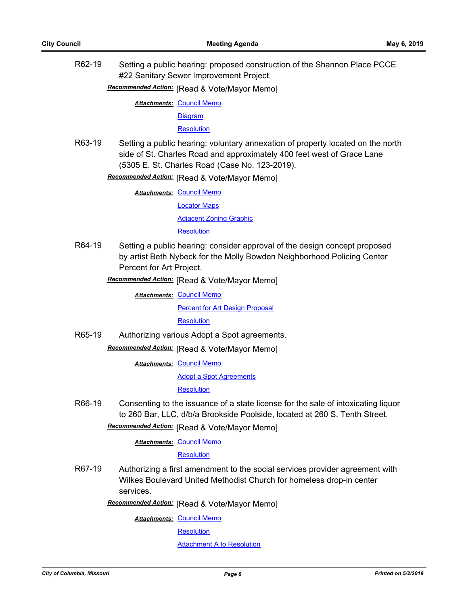R62-19 Setting a public hearing: proposed construction of the Shannon Place PCCE #22 Sanitary Sewer Improvement Project.

**Recommended Action: [Read & Vote/Mayor Memo]** 

**Attachments: [Council Memo](http://gocolumbiamo.legistar.com/gateway.aspx?M=F&ID=2c5b3a98-6c6c-43ad-a5f4-af73cdcba08c.docx)** 

[Diagram](http://gocolumbiamo.legistar.com/gateway.aspx?M=F&ID=7a22bc0e-8c61-48bb-aa60-662edbb1c6e3.pdf)

**[Resolution](http://gocolumbiamo.legistar.com/gateway.aspx?M=F&ID=1b648fbd-afd0-4c69-9a17-8dea9ee221cf.doc)** 

R63-19 Setting a public hearing: voluntary annexation of property located on the north side of St. Charles Road and approximately 400 feet west of Grace Lane (5305 E. St. Charles Road (Case No. 123-2019).

**Recommended Action:** [Read & Vote/Mayor Memo]

**Attachments: [Council Memo](http://gocolumbiamo.legistar.com/gateway.aspx?M=F&ID=18d488cc-615c-4cde-8177-5005f8bbd3a7.docx)** 

[Locator Maps](http://gocolumbiamo.legistar.com/gateway.aspx?M=F&ID=5ce79f1e-7aea-47e5-89bd-337fed007e7c.pdf) [Adjacent Zoning Graphic](http://gocolumbiamo.legistar.com/gateway.aspx?M=F&ID=534a1d4d-a359-456d-ae7f-05bd9a615bd4.pdf) **[Resolution](http://gocolumbiamo.legistar.com/gateway.aspx?M=F&ID=0f9c994e-3664-40cb-9719-2071a9af6aea.doc)** 

R64-19 Setting a public hearing: consider approval of the design concept proposed by artist Beth Nybeck for the Molly Bowden Neighborhood Policing Center Percent for Art Project.

**Recommended Action:** [Read & Vote/Mayor Memo]

**Attachments: [Council Memo](http://gocolumbiamo.legistar.com/gateway.aspx?M=F&ID=b2bc54c4-b39f-4d3b-9c63-3670253a8b6e.docx)** 

**[Percent for Art Design Proposal](http://gocolumbiamo.legistar.com/gateway.aspx?M=F&ID=0cab99ca-80d7-4dbc-b48e-8defbde14dd9.pdf)** 

**[Resolution](http://gocolumbiamo.legistar.com/gateway.aspx?M=F&ID=27d85034-9d8c-4e5c-8db7-893e7dcfd9f3.doc)** 

R65-19 Authorizing various Adopt a Spot agreements.

**Recommended Action: [Read & Vote/Mayor Memo]** 

**Attachments: [Council Memo](http://gocolumbiamo.legistar.com/gateway.aspx?M=F&ID=b03c0954-9e03-411b-bd79-854724eed3c1.docx)** 

[Adopt a Spot Agreements](http://gocolumbiamo.legistar.com/gateway.aspx?M=F&ID=56f142b1-9b73-4119-a916-f39790efc0e4.pdf)

**[Resolution](http://gocolumbiamo.legistar.com/gateway.aspx?M=F&ID=ab66f9f2-7d62-4447-adb1-a0ccceef1ca2.doc)** 

R66-19 Consenting to the issuance of a state license for the sale of intoxicating liquor to 260 Bar, LLC, d/b/a Brookside Poolside, located at 260 S. Tenth Street.

**Recommended Action:** [Read & Vote/Mayor Memo]

**Attachments: [Council Memo](http://gocolumbiamo.legistar.com/gateway.aspx?M=F&ID=14857f59-39b4-4c09-ad9c-509fced67c46.docx)** 

#### **[Resolution](http://gocolumbiamo.legistar.com/gateway.aspx?M=F&ID=8f0ad6c9-dae1-49bb-aa2a-9102a1f18d3c.doc)**

R67-19 Authorizing a first amendment to the social services provider agreement with Wilkes Boulevard United Methodist Church for homeless drop-in center services.

**Recommended Action:** [Read & Vote/Mayor Memo]

**Attachments: [Council Memo](http://gocolumbiamo.legistar.com/gateway.aspx?M=F&ID=5883d534-ff37-4efe-aca7-8ba79cd26ad5.docx)** 

**[Resolution](http://gocolumbiamo.legistar.com/gateway.aspx?M=F&ID=d2cf13f4-0b3a-4e41-8fa0-2af2af3c8356.doc)** 

**[Attachment A to Resolution](http://gocolumbiamo.legistar.com/gateway.aspx?M=F&ID=b904f853-129c-4ed1-b6f6-9133261bedd1.pdf)**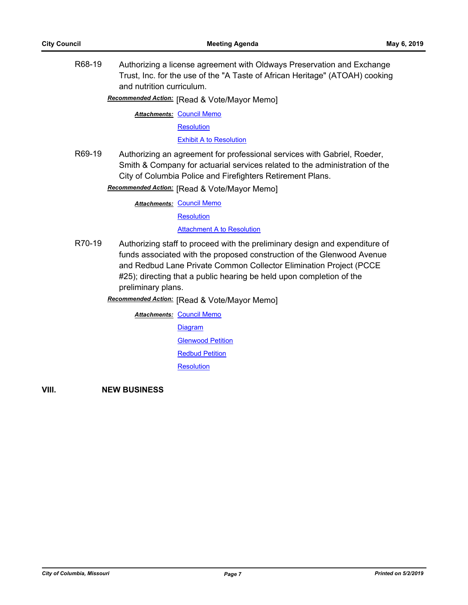R68-19 Authorizing a license agreement with Oldways Preservation and Exchange Trust, Inc. for the use of the "A Taste of African Heritage" (ATOAH) cooking and nutrition curriculum.

**Recommended Action:** [Read & Vote/Mayor Memo]

**Attachments: [Council Memo](http://gocolumbiamo.legistar.com/gateway.aspx?M=F&ID=e2509461-a7f7-48e2-a2d1-73e5540aec7c.docx)** 

**[Resolution](http://gocolumbiamo.legistar.com/gateway.aspx?M=F&ID=e298cc45-54c7-4873-8fe9-fc81af4e4eda.doc)** 

**[Exhibit A to Resolution](http://gocolumbiamo.legistar.com/gateway.aspx?M=F&ID=924083ef-0f90-4160-b4ef-1e700a7e82fc.pdf)** 

R69-19 Authorizing an agreement for professional services with Gabriel, Roeder, Smith & Company for actuarial services related to the administration of the City of Columbia Police and Firefighters Retirement Plans.

**Recommended Action:** [Read & Vote/Mayor Memo]

**Attachments: [Council Memo](http://gocolumbiamo.legistar.com/gateway.aspx?M=F&ID=dbde2c7d-1387-4628-b470-968c73c06991.docx)** 

**[Resolution](http://gocolumbiamo.legistar.com/gateway.aspx?M=F&ID=815d9589-75aa-4ec0-87ff-ed92176ae062.doc)** 

**[Attachment A to Resolution](http://gocolumbiamo.legistar.com/gateway.aspx?M=F&ID=f231a212-dbc0-4b1c-bb9b-b40e999c3d24.pdf)** 

R70-19 Authorizing staff to proceed with the preliminary design and expenditure of funds associated with the proposed construction of the Glenwood Avenue and Redbud Lane Private Common Collector Elimination Project (PCCE #25); directing that a public hearing be held upon completion of the preliminary plans.

**Recommended Action:** [Read & Vote/Mayor Memo]

**Attachments: [Council Memo](http://gocolumbiamo.legistar.com/gateway.aspx?M=F&ID=07d6657b-39a1-414d-8579-82c81f4c54bb.docx) [Diagram](http://gocolumbiamo.legistar.com/gateway.aspx?M=F&ID=f620b452-babb-4fd2-870e-31f3a0179e73.pdf) [Glenwood Petition](http://gocolumbiamo.legistar.com/gateway.aspx?M=F&ID=bc14b956-2fac-4826-8992-9089a5fea1a1.pdf)** [Redbud Petition](http://gocolumbiamo.legistar.com/gateway.aspx?M=F&ID=503257ab-2ec2-4530-b532-107eb2c39cb4.pdf) **[Resolution](http://gocolumbiamo.legistar.com/gateway.aspx?M=F&ID=01b846e1-db5a-4665-bce4-b9a1f4d2c364.doc)** 

**VIII. NEW BUSINESS**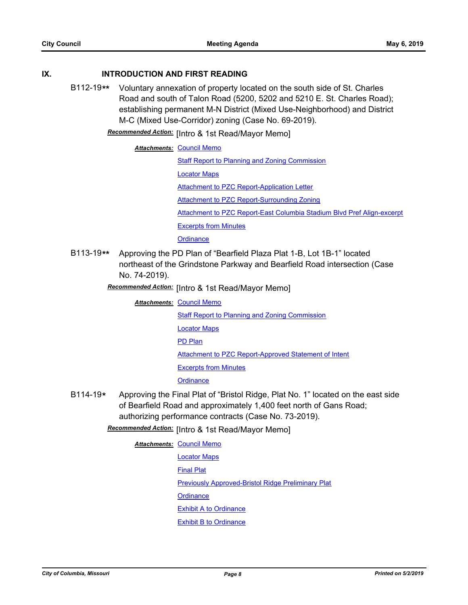## **IX. INTRODUCTION AND FIRST READING**

B112-19**\*\*** Voluntary annexation of property located on the south side of St. Charles Road and south of Talon Road (5200, 5202 and 5210 E. St. Charles Road); establishing permanent M-N District (Mixed Use-Neighborhood) and District M-C (Mixed Use-Corridor) zoning (Case No. 69-2019).

**Recommended Action:** [Intro & 1st Read/Mayor Memo]

**Attachments: [Council Memo](http://gocolumbiamo.legistar.com/gateway.aspx?M=F&ID=fa824535-97b8-4d1f-abeb-9a0bbc0d485b.docx)** 

[Staff Report to Planning and Zoning Commission](http://gocolumbiamo.legistar.com/gateway.aspx?M=F&ID=020a7dad-f220-46d8-9f5f-301c8600c9cb.pdf)

[Locator Maps](http://gocolumbiamo.legistar.com/gateway.aspx?M=F&ID=fa493d07-bdaf-4bd6-bede-3852d2b70259.pdf)

[Attachment to PZC Report-Application Letter](http://gocolumbiamo.legistar.com/gateway.aspx?M=F&ID=a1d53eb5-b56e-4c09-b4b2-4bffeef41c31.pdf)

[Attachment to PZC Report-Surrounding Zoning](http://gocolumbiamo.legistar.com/gateway.aspx?M=F&ID=9e12210b-1b39-48da-b280-e9b7490197ec.pdf)

[Attachment to PZC Report-East Columbia Stadium Blvd Pref Align-excerpt](http://gocolumbiamo.legistar.com/gateway.aspx?M=F&ID=b5c1ee5c-8653-4512-bab7-2d50469d4457.pdf)

[Excerpts from Minutes](http://gocolumbiamo.legistar.com/gateway.aspx?M=F&ID=44ff784a-3c2b-42f9-ac51-63e89cb16319.docx)

**[Ordinance](http://gocolumbiamo.legistar.com/gateway.aspx?M=F&ID=5f9a78fe-e3e8-4c1e-8f60-8dd6afbce77d.doc)** 

- B113-19**\*\*** Approving the PD Plan of "Bearfield Plaza Plat 1-B, Lot 1B-1" located northeast of the Grindstone Parkway and Bearfield Road intersection (Case No. 74-2019).
	- Recommended Action: [Intro & 1st Read/Mayor Memo]
		- **Attachments: [Council Memo](http://gocolumbiamo.legistar.com/gateway.aspx?M=F&ID=1baf90d1-d078-4f57-89dc-5f837f89c761.docx) [Staff Report to Planning and Zoning Commission](http://gocolumbiamo.legistar.com/gateway.aspx?M=F&ID=9876fac3-e01c-4901-955f-101a68274b31.docx)** [Locator Maps](http://gocolumbiamo.legistar.com/gateway.aspx?M=F&ID=25fbcc77-dfd9-41bf-8adf-da1695f01065.pdf) [PD Plan](http://gocolumbiamo.legistar.com/gateway.aspx?M=F&ID=19536975-7be7-4265-966a-3d9eb5412e95.pdf) [Attachment to PZC Report-Approved Statement of Intent](http://gocolumbiamo.legistar.com/gateway.aspx?M=F&ID=6d9f46dc-9c39-446e-ab62-ace34d2869c3.pdf) [Excerpts from Minutes](http://gocolumbiamo.legistar.com/gateway.aspx?M=F&ID=abdf0eb4-b793-4e8c-95fb-e2c64dc6c06d.docx) **[Ordinance](http://gocolumbiamo.legistar.com/gateway.aspx?M=F&ID=15b87e40-f054-4f9c-8c09-6384e93be352.doc)**
- B114-19**\*** Approving the Final Plat of "Bristol Ridge, Plat No. 1" located on the east side of Bearfield Road and approximately 1,400 feet north of Gans Road; authorizing performance contracts (Case No. 73-2019).

Recommended Action: [Intro & 1st Read/Mayor Memo]

**Attachments: [Council Memo](http://gocolumbiamo.legistar.com/gateway.aspx?M=F&ID=924ddfec-fc45-4d77-8ed7-a81fe9943fac.docx)** [Locator Maps](http://gocolumbiamo.legistar.com/gateway.aspx?M=F&ID=3e60b049-3db8-4ff9-9c5d-8133d9be6941.pdf) [Final Plat](http://gocolumbiamo.legistar.com/gateway.aspx?M=F&ID=152425b5-2354-4b40-9a04-ddd6751ab402.pdf) [Previously Approved-Bristol Ridge Preliminary Plat](http://gocolumbiamo.legistar.com/gateway.aspx?M=F&ID=8b78cc46-f9a1-4d8d-837c-813a282ae236.pdf) **[Ordinance](http://gocolumbiamo.legistar.com/gateway.aspx?M=F&ID=2b7a5160-092c-4895-bd2b-71b2e3afa93b.doc)** [Exhibit A to Ordinance](http://gocolumbiamo.legistar.com/gateway.aspx?M=F&ID=aeb37345-1280-43d6-be46-abb8e8a899d2.pdf) [Exhibit B to Ordinance](http://gocolumbiamo.legistar.com/gateway.aspx?M=F&ID=0bff8010-4032-49e4-8ce9-e873615ee045.pdf)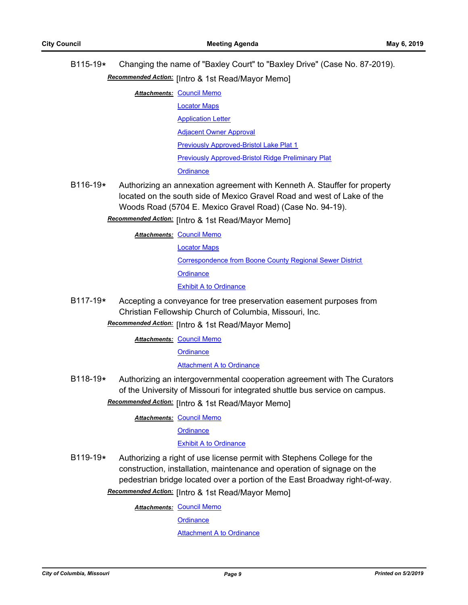- B115-19**\*** Changing the name of "Baxley Court" to "Baxley Drive" (Case No. 87-2019). Recommended Action: [Intro & 1st Read/Mayor Memo]
	- **Attachments: [Council Memo](http://gocolumbiamo.legistar.com/gateway.aspx?M=F&ID=1b2a6f64-bfe2-4d18-b5e8-1966cd2a901d.docx)** 
		- [Locator Maps](http://gocolumbiamo.legistar.com/gateway.aspx?M=F&ID=c3a7f570-679c-43a2-a15c-e167b87566f0.pdf)
			- [Application Letter](http://gocolumbiamo.legistar.com/gateway.aspx?M=F&ID=369e4f33-1b05-4b92-89dd-6b799d80c6b5.pdf)
			- [Adjacent Owner Approval](http://gocolumbiamo.legistar.com/gateway.aspx?M=F&ID=b8734585-95dd-40c8-a08b-01d78058139d.pdf)

[Previously Approved-Bristol Lake Plat 1](http://gocolumbiamo.legistar.com/gateway.aspx?M=F&ID=c49d2ee2-4606-487d-a395-229a4d51891a.pdf)

[Previously Approved-Bristol Ridge Preliminary Plat](http://gocolumbiamo.legistar.com/gateway.aspx?M=F&ID=8a01352b-3cfa-4dcf-a444-4001209d8c83.pdf)

**[Ordinance](http://gocolumbiamo.legistar.com/gateway.aspx?M=F&ID=555ba60c-864a-4150-bfc2-be37037f928e.doc)** 

B116-19**\*** Authorizing an annexation agreement with Kenneth A. Stauffer for property located on the south side of Mexico Gravel Road and west of Lake of the Woods Road (5704 E. Mexico Gravel Road) (Case No. 94-19).

**Recommended Action:** [Intro & 1st Read/Mayor Memo]

**Attachments: [Council Memo](http://gocolumbiamo.legistar.com/gateway.aspx?M=F&ID=574fb7a2-e695-46f6-af8e-2d89e0a5a3ce.docx)** 

[Locator Maps](http://gocolumbiamo.legistar.com/gateway.aspx?M=F&ID=86b8fdc6-b700-438f-9e0c-e10bf7d07fd4.pdf)

[Correspondence from Boone County Regional Sewer District](http://gocolumbiamo.legistar.com/gateway.aspx?M=F&ID=08d27817-4a45-4fa2-9536-09ae2bffa0fc.pdf)

**[Ordinance](http://gocolumbiamo.legistar.com/gateway.aspx?M=F&ID=0cb6beb2-854c-4ddc-a9a2-fe628e124af6.doc)** 

**[Exhibit A to Ordinance](http://gocolumbiamo.legistar.com/gateway.aspx?M=F&ID=9f99a86e-e0b7-42c0-812e-490a9d62994f.pdf)** 

B117-19**\*** Accepting a conveyance for tree preservation easement purposes from Christian Fellowship Church of Columbia, Missouri, Inc.

Recommended Action: [Intro & 1st Read/Mayor Memo]

**Attachments: [Council Memo](http://gocolumbiamo.legistar.com/gateway.aspx?M=F&ID=8b6ef457-d2fe-44b8-b485-92a5bdc3ae79.docx)** 

**[Ordinance](http://gocolumbiamo.legistar.com/gateway.aspx?M=F&ID=917fe8a0-1cdc-41e5-9a47-fedcda7452ee.doc)** 

[Attachment A to Ordinance](http://gocolumbiamo.legistar.com/gateway.aspx?M=F&ID=a5e62903-3b6b-4b79-82e2-194dfd544c07.pdf)

B118-19**\*** Authorizing an intergovernmental cooperation agreement with The Curators of the University of Missouri for integrated shuttle bus service on campus.

Recommended Action: [Intro & 1st Read/Mayor Memo]

**Attachments: [Council Memo](http://gocolumbiamo.legistar.com/gateway.aspx?M=F&ID=9f3951b8-138f-4996-a47e-2369b16c23ea.docx)** 

**[Ordinance](http://gocolumbiamo.legistar.com/gateway.aspx?M=F&ID=c29ff60a-3436-48bc-bff3-39b1ea2716eb.doc)** 

## [Exhibit A to Ordinance](http://gocolumbiamo.legistar.com/gateway.aspx?M=F&ID=3cc81dfc-d7b7-478a-88f3-cfbeb1a888bc.pdf)

B119-19**\*** Authorizing a right of use license permit with Stephens College for the construction, installation, maintenance and operation of signage on the pedestrian bridge located over a portion of the East Broadway right-of-way.

**Recommended Action:** [Intro & 1st Read/Mayor Memo]

**Attachments: [Council Memo](http://gocolumbiamo.legistar.com/gateway.aspx?M=F&ID=0c8a4126-0e17-412d-95cd-a200657a5e71.docx)** 

**[Ordinance](http://gocolumbiamo.legistar.com/gateway.aspx?M=F&ID=9d163d13-bd40-4206-ab11-2396966f7075.doc)** 

**[Attachment A to Ordinance](http://gocolumbiamo.legistar.com/gateway.aspx?M=F&ID=2ae93c2d-a1f1-4bbc-a1f9-105f6cd81494.pdf)**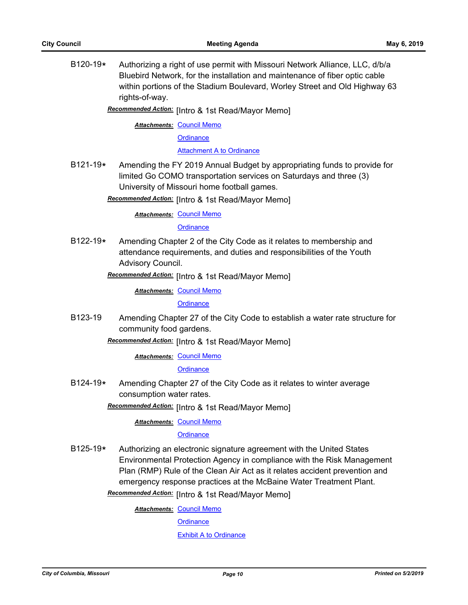B120-19**\*** Authorizing a right of use permit with Missouri Network Alliance, LLC, d/b/a Bluebird Network, for the installation and maintenance of fiber optic cable within portions of the Stadium Boulevard, Worley Street and Old Highway 63 rights-of-way.

Recommended Action: [Intro & 1st Read/Mayor Memo]

**Attachments: [Council Memo](http://gocolumbiamo.legistar.com/gateway.aspx?M=F&ID=4972dc80-2835-4d94-96bd-c7c5ea44c08b.docx)** 

**[Ordinance](http://gocolumbiamo.legistar.com/gateway.aspx?M=F&ID=5dcdbe39-9264-4649-a36e-52893aea4ce9.doc)** 

[Attachment A to Ordinance](http://gocolumbiamo.legistar.com/gateway.aspx?M=F&ID=102b70cb-5b2d-4d62-a609-958f46ed072b.pdf)

B121-19**\*** Amending the FY 2019 Annual Budget by appropriating funds to provide for limited Go COMO transportation services on Saturdays and three (3) University of Missouri home football games.

Recommended Action: [Intro & 1st Read/Mayor Memo]

**Attachments: [Council Memo](http://gocolumbiamo.legistar.com/gateway.aspx?M=F&ID=9f810fc0-a2d9-4eb4-a91f-7b6549cd3660.docx)** 

**[Ordinance](http://gocolumbiamo.legistar.com/gateway.aspx?M=F&ID=b263121d-82b8-4344-b893-1ebdaea3cfcd.doc)** 

B122-19**\*** Amending Chapter 2 of the City Code as it relates to membership and attendance requirements, and duties and responsibilities of the Youth Advisory Council.

Recommended Action: [Intro & 1st Read/Mayor Memo]

**Attachments: [Council Memo](http://gocolumbiamo.legistar.com/gateway.aspx?M=F&ID=3bfe06cd-a74f-4b30-81af-146128fd5516.docx)** 

**[Ordinance](http://gocolumbiamo.legistar.com/gateway.aspx?M=F&ID=3f3eb477-9814-4b65-8198-1a5d2e90391d.doc)** 

B123-19 Amending Chapter 27 of the City Code to establish a water rate structure for community food gardens.

Recommended Action: [Intro & 1st Read/Mayor Memo]

**Attachments: [Council Memo](http://gocolumbiamo.legistar.com/gateway.aspx?M=F&ID=8ff67ce1-47e7-4a2a-a779-6316be4b747f.docx)** 

**[Ordinance](http://gocolumbiamo.legistar.com/gateway.aspx?M=F&ID=3b878cf0-41bb-4580-99e3-8a33eb2fc333.doc)** 

B124-19**\*** Amending Chapter 27 of the City Code as it relates to winter average consumption water rates.

Recommended Action: [Intro & 1st Read/Mayor Memo]

**Attachments: [Council Memo](http://gocolumbiamo.legistar.com/gateway.aspx?M=F&ID=a73429d4-46a9-4cb1-b18f-699cfe751c22.docx)** 

**[Ordinance](http://gocolumbiamo.legistar.com/gateway.aspx?M=F&ID=0ce515b5-da99-4eaa-85c4-f767077ccf79.doc)** 

B125-19**\*** Authorizing an electronic signature agreement with the United States Environmental Protection Agency in compliance with the Risk Management Plan (RMP) Rule of the Clean Air Act as it relates accident prevention and emergency response practices at the McBaine Water Treatment Plant. **Recommended Action:** [Intro & 1st Read/Mayor Memo]

**Attachments: [Council Memo](http://gocolumbiamo.legistar.com/gateway.aspx?M=F&ID=869ef91b-ee4d-496f-9afe-8ceb7c8e3b2c.docx)** 

**[Ordinance](http://gocolumbiamo.legistar.com/gateway.aspx?M=F&ID=4a2ed54a-8223-4aeb-b393-1b3706e942ae.doc)** 

[Exhibit A to Ordinance](http://gocolumbiamo.legistar.com/gateway.aspx?M=F&ID=56f87656-b430-43cc-be78-d695fa15f218.pdf)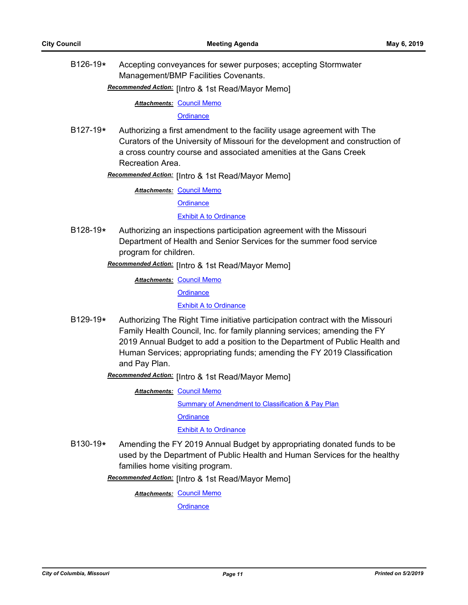B126-19**\*** Accepting conveyances for sewer purposes; accepting Stormwater Management/BMP Facilities Covenants.

**Recommended Action:** [Intro & 1st Read/Mayor Memo]

**Attachments: [Council Memo](http://gocolumbiamo.legistar.com/gateway.aspx?M=F&ID=31e974f0-a98c-467d-98c3-72a919d1319b.docx)** 

**[Ordinance](http://gocolumbiamo.legistar.com/gateway.aspx?M=F&ID=e0bab88a-3225-416e-bfaf-6a438e7602d6.doc)** 

- B127-19**\*** Authorizing a first amendment to the facility usage agreement with The Curators of the University of Missouri for the development and construction of a cross country course and associated amenities at the Gans Creek Recreation Area.
	- **Recommended Action:** [Intro & 1st Read/Mayor Memo]

**Attachments: [Council Memo](http://gocolumbiamo.legistar.com/gateway.aspx?M=F&ID=b8c01ac7-c992-46d5-b6a0-cc889c3a3e13.docx)** 

**[Ordinance](http://gocolumbiamo.legistar.com/gateway.aspx?M=F&ID=186b73ec-ee83-4071-83aa-a8b9cd69fe8b.doc)** 

[Exhibit A to Ordinance](http://gocolumbiamo.legistar.com/gateway.aspx?M=F&ID=c45053ac-5394-4767-af8d-d73fc7c1c27c.pdf)

B128-19**\*** Authorizing an inspections participation agreement with the Missouri Department of Health and Senior Services for the summer food service program for children.

Recommended Action: [Intro & 1st Read/Mayor Memo]

**Attachments: [Council Memo](http://gocolumbiamo.legistar.com/gateway.aspx?M=F&ID=c4b067f1-8050-4c84-9f64-04835f594bcb.docx)** 

**[Ordinance](http://gocolumbiamo.legistar.com/gateway.aspx?M=F&ID=a27dae7f-c5bd-4fc2-91e6-058b59c5a84b.doc)** 

[Exhibit A to Ordinance](http://gocolumbiamo.legistar.com/gateway.aspx?M=F&ID=324f8a1d-203a-4ad7-8e84-06f20c8b0efa.pdf)

- B129-19**\*** Authorizing The Right Time initiative participation contract with the Missouri Family Health Council, Inc. for family planning services; amending the FY 2019 Annual Budget to add a position to the Department of Public Health and Human Services; appropriating funds; amending the FY 2019 Classification and Pay Plan.
	- **Recommended Action:** [Intro & 1st Read/Mayor Memo]

**Attachments: [Council Memo](http://gocolumbiamo.legistar.com/gateway.aspx?M=F&ID=5fd8198f-7503-4b0d-a5f2-8827509bb2f8.docx)** [Summary of Amendment to Classification & Pay Plan](http://gocolumbiamo.legistar.com/gateway.aspx?M=F&ID=c02bd4f8-31de-48c8-a805-6c4d3c656fee.doc) **[Ordinance](http://gocolumbiamo.legistar.com/gateway.aspx?M=F&ID=d8ad417d-8b5c-4af6-823a-397610ee1a03.doc)** [Exhibit A to Ordinance](http://gocolumbiamo.legistar.com/gateway.aspx?M=F&ID=3cfbbc6f-cb7a-48ea-acdf-94ae0063df08.pdf)

B130-19**\*** Amending the FY 2019 Annual Budget by appropriating donated funds to be used by the Department of Public Health and Human Services for the healthy families home visiting program.

**Recommended Action:** [Intro & 1st Read/Mayor Memo]

**Attachments: [Council Memo](http://gocolumbiamo.legistar.com/gateway.aspx?M=F&ID=71f65e3f-eb98-40c2-a2c3-9146cd509bda.docx)** 

**[Ordinance](http://gocolumbiamo.legistar.com/gateway.aspx?M=F&ID=dc5259a2-2a9a-419e-8f1b-153ce3fe37d2.doc)**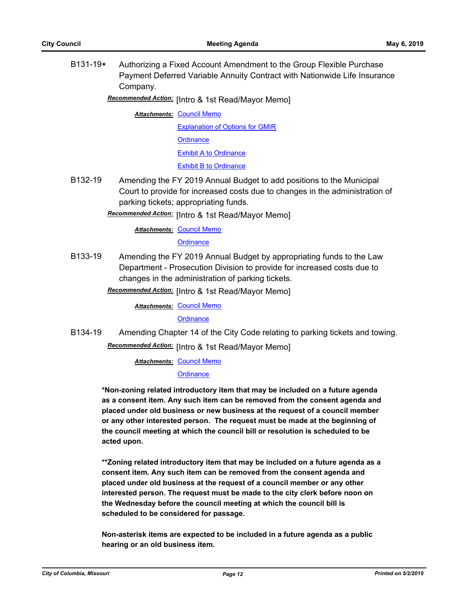B131-19**\*** Authorizing a Fixed Account Amendment to the Group Flexible Purchase Payment Deferred Variable Annuity Contract with Nationwide Life Insurance Company.

# Recommended Action: [Intro & 1st Read/Mayor Memo]

**Attachments: [Council Memo](http://gocolumbiamo.legistar.com/gateway.aspx?M=F&ID=5316a9f4-68e3-4eec-9af3-c69a45ed561c.docx)** [Explanation of Options for GMIR](http://gocolumbiamo.legistar.com/gateway.aspx?M=F&ID=e681bc1f-ca71-4000-a2bc-647bc8fb9c48.pdf) **[Ordinance](http://gocolumbiamo.legistar.com/gateway.aspx?M=F&ID=93fe3e58-6fd4-4a4b-9658-7281d0c2a5db.doc)** [Exhibit A to Ordinance](http://gocolumbiamo.legistar.com/gateway.aspx?M=F&ID=853db5d3-c489-4909-87ee-f8f39c0454af.pdf) [Exhibit B to Ordinance](http://gocolumbiamo.legistar.com/gateway.aspx?M=F&ID=2eed0ea4-0956-436a-b920-072d176935ea.pdf)

B132-19 Amending the FY 2019 Annual Budget to add positions to the Municipal Court to provide for increased costs due to changes in the administration of parking tickets; appropriating funds.

**Recommended Action:** [Intro & 1st Read/Mayor Memo]

#### **Attachments: [Council Memo](http://gocolumbiamo.legistar.com/gateway.aspx?M=F&ID=28272d17-0498-4826-aaed-e9f43c4c1a23.docx)**

#### **[Ordinance](http://gocolumbiamo.legistar.com/gateway.aspx?M=F&ID=faf482cf-85ba-4bcb-8eaf-07aa89033fa7.doc)**

B133-19 Amending the FY 2019 Annual Budget by appropriating funds to the Law Department - Prosecution Division to provide for increased costs due to changes in the administration of parking tickets.

**Recommended Action:** [Intro & 1st Read/Mayor Memo]

**Attachments: [Council Memo](http://gocolumbiamo.legistar.com/gateway.aspx?M=F&ID=a4129530-37d2-4271-aea6-5e15899610c1.docx)** 

**[Ordinance](http://gocolumbiamo.legistar.com/gateway.aspx?M=F&ID=d31f62cf-e60d-42e5-8487-2b91dac56fe9.doc)** 

B134-19 Amending Chapter 14 of the City Code relating to parking tickets and towing.

**Recommended Action:** [Intro & 1st Read/Mayor Memo]

**Attachments: [Council Memo](http://gocolumbiamo.legistar.com/gateway.aspx?M=F&ID=bc7eedda-39a5-454a-85a7-10ff7b810504.docx)** 

#### **[Ordinance](http://gocolumbiamo.legistar.com/gateway.aspx?M=F&ID=b69a2358-c0a4-4b71-8e23-c24037405a91.doc)**

**\*Non-zoning related introductory item that may be included on a future agenda as a consent item. Any such item can be removed from the consent agenda and placed under old business or new business at the request of a council member or any other interested person. The request must be made at the beginning of the council meeting at which the council bill or resolution is scheduled to be acted upon.** 

**\*\*Zoning related introductory item that may be included on a future agenda as a consent item. Any such item can be removed from the consent agenda and placed under old business at the request of a council member or any other interested person. The request must be made to the city clerk before noon on the Wednesday before the council meeting at which the council bill is scheduled to be considered for passage.**

**Non-asterisk items are expected to be included in a future agenda as a public hearing or an old business item.**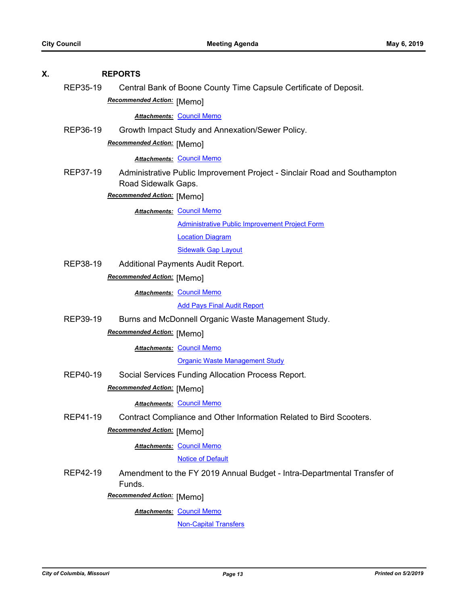| Х. | <b>REPORTS</b> |                                   |                                                                           |
|----|----------------|-----------------------------------|---------------------------------------------------------------------------|
|    | REP35-19       |                                   | Central Bank of Boone County Time Capsule Certificate of Deposit.         |
|    |                | <b>Recommended Action: [Memo]</b> |                                                                           |
|    |                |                                   | <b>Attachments: Council Memo</b>                                          |
|    | REP36-19       |                                   | Growth Impact Study and Annexation/Sewer Policy.                          |
|    |                | Recommended Action: [Memo]        |                                                                           |
|    |                |                                   | <b>Attachments: Council Memo</b>                                          |
|    | REP37-19       |                                   | Administrative Public Improvement Project - Sinclair Road and Southampton |
|    |                | Road Sidewalk Gaps.               |                                                                           |
|    |                | Recommended Action: [Memo]        |                                                                           |
|    |                |                                   | <b>Attachments: Council Memo</b>                                          |
|    |                |                                   | <b>Administrative Public Improvement Project Form</b>                     |
|    |                |                                   | <b>Location Diagram</b>                                                   |
|    |                |                                   | <b>Sidewalk Gap Layout</b>                                                |
|    | REP38-19       |                                   | Additional Payments Audit Report.                                         |
|    |                | Recommended Action: [Memo]        |                                                                           |
|    |                |                                   | <b>Attachments: Council Memo</b>                                          |
|    |                |                                   | <b>Add Pays Final Audit Report</b>                                        |
|    | REP39-19       |                                   | Burns and McDonnell Organic Waste Management Study.                       |
|    |                | Recommended Action: [Memo]        |                                                                           |
|    |                |                                   | <b>Attachments: Council Memo</b>                                          |
|    |                |                                   | <b>Organic Waste Management Study</b>                                     |
|    | REP40-19       |                                   | Social Services Funding Allocation Process Report.                        |
|    |                | Recommended Action: [Memo]        |                                                                           |
|    |                |                                   | <b>Attachments: Council Memo</b>                                          |
|    | REP41-19       |                                   | Contract Compliance and Other Information Related to Bird Scooters.       |
|    |                | Recommended Action: [Memo]        |                                                                           |
|    |                |                                   | <b>Attachments: Council Memo</b>                                          |
|    |                |                                   | <b>Notice of Default</b>                                                  |
|    | REP42-19       | Funds.                            | Amendment to the FY 2019 Annual Budget - Intra-Departmental Transfer of   |
|    |                | Recommended Action: [Memo]        |                                                                           |
|    |                |                                   | <b>Attachments: Council Memo</b>                                          |
|    |                |                                   | <b>Non-Capital Transfers</b>                                              |
|    |                |                                   |                                                                           |